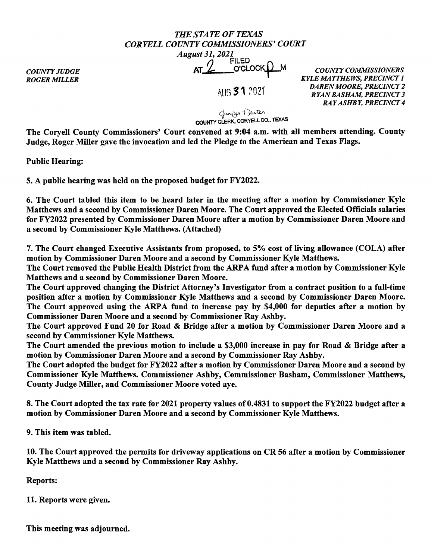## *THE STATE OF TEXAS CORYELLCOUNTYCOMMISSIONERS'COURT August 31, 2021*<br>AT 2 <sup>FILED</sup> O'CLOCK <u>Q</u> M

*COUNTY JUDGE ROGER MILLER* 

1 All~ **31** ?021'

*COUNTY COMMISSIONERS KYLE MATTHEWS, PRECINCT 1 DAREN MOORE, PRECINCT 2 RYAN BASHAM, PRECINCT 3 RAY ASHBY, PRECINCT 4* 

Cjariligo Teuten COUNTY CLERK. CORYELL CO., TEXAS

The Coryell County Commissioners' Court convened at 9:04 a.m. with all members attending. County Judge, Roger Miller gave the invocation and led the Pledge to the American and Texas Flags.

Public Hearing:

5. A public hearing was held on the proposed budget for FY2022.

6. The Court tabled this item to be heard later in the meeting after a motion by Commissioner Kyle Matthews and a second by Commissioner Daren Moore. The Court approved the Elected Officials salaries for FY2022 presented by Commissioner Daren Moore after a motion by Commissioner Daren Moore and a second by Commissioner Kyle Matthews. (Attached)

7. The Court changed Executive Assistants from proposed, to 5% cost of living allowance (COLA) after motion by Commissioner Daren Moore and a second by Commissioner Kyle Matthews.

The Court removed the Public Health District from the ARPA fund after a motion by Commissioner Kyle Matthews and a second by Commissioner Daren Moore.

The Court approved changing the District Attorney's Investigator from a contract position to a full-time position after a motion by Commissioner Kyle Matthews and a second by Commissioner Daren Moore. The Court approved using the ARPA fund to increase pay by \$4,000 for deputies after a motion by Commissioner Daren Moore and a second by Commissioner Ray Ashby.

The Court approved Fund 20 for Road & Bridge after a motion by Commissioner Daren Moore and a second by Commissioner Kyle Matthews.

The Court amended the previous motion to include a \$3,000 increase in pay for Road & Bridge after a motion by Commissioner Daren Moore and a second by Commissioner Ray Ashby.

The Court adopted the budget for FY2022 after a motion by Commissioner Daren Moore and a second by Commissioner Kyle Matthews. Commissioner Ashby, Commissioner Basham, Commissioner Matthews, County Judge Miller, and Commissioner Moore voted aye.

8. The Court adopted the tax rate for 2021 property values of 0.4831 to support the FY2022 budget after a motion by Commissioner Daren Moore and a second by Commissioner Kyle Matthews.

9. This item was tabled.

10. The Court approved the permits for driveway applications on CR 56 after a motion by Commissioner Kyle Matthews and a second by Commissioner Ray Ashby.

Reports:

11. Reports were given.

This meeting was adjourned.